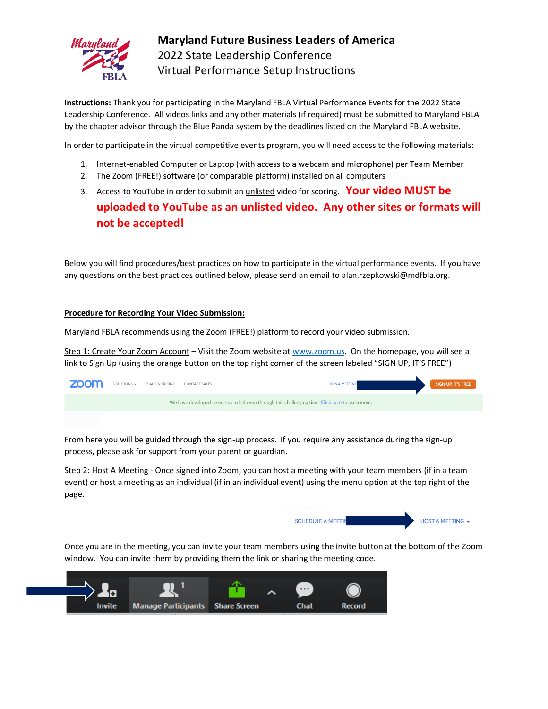

**Instructions:** Thank you for participating in the Maryland FBLA Virtual Performance Events for the 2022 State Leadership Conference. All videos links and any other materials (if required) must be submitted to Maryland FBLA by the chapter advisor through the Blue Panda system by the deadlines listed on the Maryland FBLA website.

In order to participate in the virtual competitive events program, you will need access to the following materials:

- 1. Internet-enabled Computer or Laptop (with access to a webcam and microphone) per Team Member
- 2. The Zoom (FREE!) software (or comparable platform) installed on all computers
- 3. Access to YouTube in order to submit an unlisted video for scoring. **Your video MUST be**

# **uploaded to YouTube as an unlisted video. Any other sites or formats will not be accepted!**

Below you will find procedures/best practices on how to participate in the virtual performance events. If you have any questions on the best practices outlined below, please send an email to alan.rzepkowski@mdfbla.org.

#### **Procedure for Recording Your Video Submission:**

Maryland FBLA recommends using the Zoom (FREE!) platform to record your video submission.

Step 1: Create Your Zoom Account – Visit the Zoom website at [www.zoom.us.](http://www.zoom.us/) On the homepage, you will see a link to Sign Up (using the orange button on the top right corner of the screen labeled "SIGN UP, IT'S FREE")

| <b>ZOOM</b>                                                                                      |  | SOLUTIONS - PLANS & PRICING CONTACT SALES |  | <b>JOIN A MEETING</b> |  | SIGN UP, IT'S FREE |
|--------------------------------------------------------------------------------------------------|--|-------------------------------------------|--|-----------------------|--|--------------------|
| We have developed resources to help you through this challenging time. Click here to learn more. |  |                                           |  |                       |  |                    |
|                                                                                                  |  |                                           |  |                       |  |                    |

From here you will be guided through the sign-up process. If you require any assistance during the sign-up process, please ask for support from your parent or guardian.

Step 2: Host A Meeting - Once signed into Zoom, you can host a meeting with your team members (if in a team event) or host a meeting as an individual (if in an individual event) using the menu option at the top right of the page.



Once you are in the meeting, you can invite your team members using the invite button at the bottom of the Zoom window. You can invite them by providing them the link or sharing the meeting code.

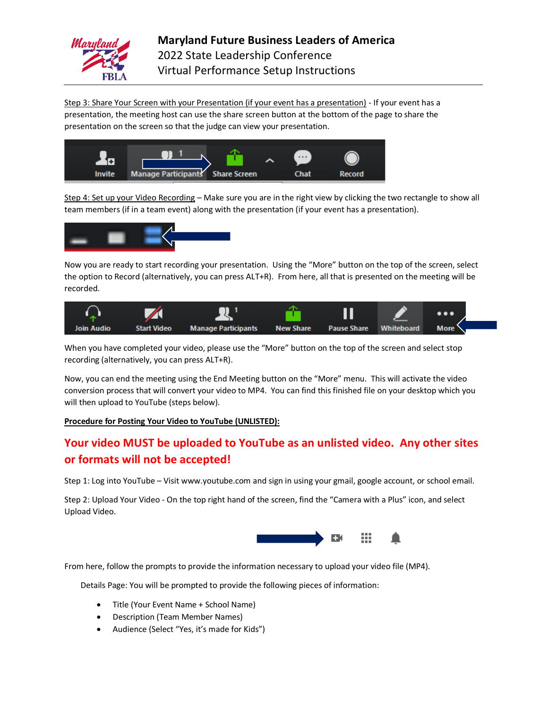

Step 3: Share Your Screen with your Presentation (if your event has a presentation) - If your event has a presentation, the meeting host can use the share screen button at the bottom of the page to share the presentation on the screen so that the judge can view your presentation.



Step 4: Set up your Video Recording – Make sure you are in the right view by clicking the two rectangle to show all team members (if in a team event) along with the presentation (if your event has a presentation).



Now you are ready to start recording your presentation. Using the "More" button on the top of the screen, select the option to Record (alternatively, you can press ALT+R). From here, all that is presented on the meeting will be recorded.



When you have completed your video, please use the "More" button on the top of the screen and select stop recording (alternatively, you can press ALT+R).

Now, you can end the meeting using the End Meeting button on the "More" menu. This will activate the video conversion process that will convert your video to MP4. You can find this finished file on your desktop which you will then upload to YouTube (steps below).

### **Procedure for Posting Your Video to YouTube (UNLISTED):**

## **Your video MUST be uploaded to YouTube as an unlisted video. Any other sites or formats will not be accepted!**

Step 1: Log into YouTube – Visit www.youtube.com and sign in using your gmail, google account, or school email.

Step 2: Upload Your Video - On the top right hand of the screen, find the "Camera with a Plus" icon, and select Upload Video.



From here, follow the prompts to provide the information necessary to upload your video file (MP4).

Details Page: You will be prompted to provide the following pieces of information:

- Title (Your Event Name + School Name)
- Description (Team Member Names)
- Audience (Select "Yes, it's made for Kids")